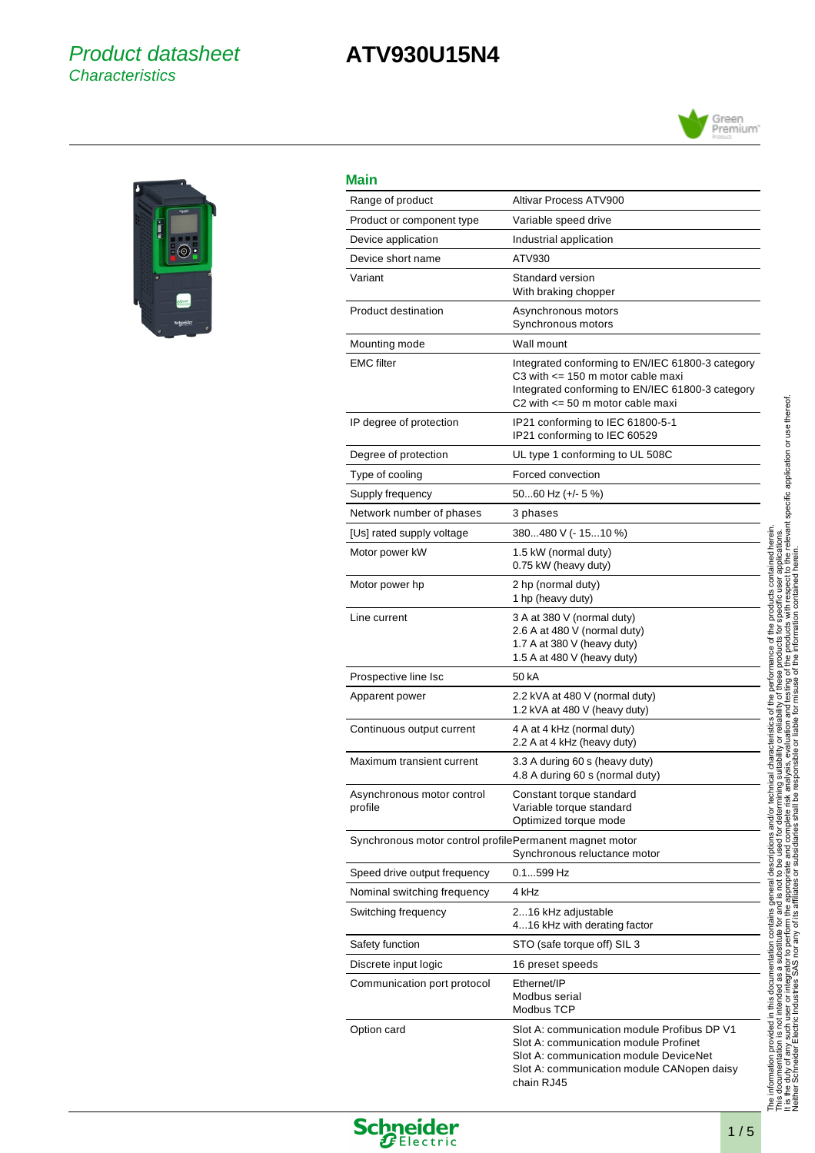### Product datasheet **Characteristics**

## **ATV930U15N4**





## **Main**

j.

l. j.

l, l,

| Main                                                    |                                                                                                                                                                                                   |  |
|---------------------------------------------------------|---------------------------------------------------------------------------------------------------------------------------------------------------------------------------------------------------|--|
| Range of product                                        | Altivar Process ATV900                                                                                                                                                                            |  |
| Product or component type                               | Variable speed drive                                                                                                                                                                              |  |
| Device application                                      | Industrial application                                                                                                                                                                            |  |
| Device short name                                       | ATV930                                                                                                                                                                                            |  |
| Variant                                                 | Standard version<br>With braking chopper                                                                                                                                                          |  |
| <b>Product destination</b>                              | Asynchronous motors<br>Synchronous motors                                                                                                                                                         |  |
| Mounting mode                                           | Wall mount                                                                                                                                                                                        |  |
| <b>EMC</b> filter                                       | Integrated conforming to EN/IEC 61800-3 category<br>C3 with $\leq$ 150 m motor cable maxi<br>Integrated conforming to EN/IEC 61800-3 category<br>C <sub>2</sub> with $\leq$ 50 m motor cable maxi |  |
| IP degree of protection                                 | IP21 conforming to IEC 61800-5-1<br>IP21 conforming to IEC 60529                                                                                                                                  |  |
| Degree of protection                                    | UL type 1 conforming to UL 508C                                                                                                                                                                   |  |
| Type of cooling                                         | Forced convection                                                                                                                                                                                 |  |
| Supply frequency                                        | 5060 Hz (+/- 5 %)                                                                                                                                                                                 |  |
| Network number of phases                                | 3 phases                                                                                                                                                                                          |  |
| [Us] rated supply voltage                               | 380480 V (- 1510 %)                                                                                                                                                                               |  |
| Motor power kW                                          | 1.5 kW (normal duty)<br>0.75 kW (heavy duty)                                                                                                                                                      |  |
| Motor power hp                                          | 2 hp (normal duty)<br>1 hp (heavy duty)                                                                                                                                                           |  |
| Line current                                            | 3 A at 380 V (normal duty)<br>2.6 A at 480 V (normal duty)<br>1.7 A at 380 V (heavy duty)<br>1.5 A at 480 V (heavy duty)                                                                          |  |
| Prospective line Isc                                    | 50 kA                                                                                                                                                                                             |  |
| Apparent power                                          | 2.2 kVA at 480 V (normal duty)<br>1.2 kVA at 480 V (heavy duty)                                                                                                                                   |  |
| Continuous output current                               | 4 A at 4 kHz (normal duty)<br>2.2 A at 4 kHz (heavy duty)                                                                                                                                         |  |
| Maximum transient current                               | 3.3 A during 60 s (heavy duty)<br>4.8 A during 60 s (normal duty)                                                                                                                                 |  |
| Asynchronous motor control<br>profile                   | Constant torque standard<br>Variable torque standard<br>Optimized torque mode                                                                                                                     |  |
| Synchronous motor control profilePermanent magnet motor | Synchronous reluctance motor                                                                                                                                                                      |  |
| Speed drive output frequency                            | 0.1599 Hz                                                                                                                                                                                         |  |
| Nominal switching frequency                             | 4 kHz                                                                                                                                                                                             |  |
| Switching frequency                                     | 216 kHz adjustable<br>416 kHz with derating factor                                                                                                                                                |  |
| Safety function                                         | STO (safe torque off) SIL 3                                                                                                                                                                       |  |
| Discrete input logic                                    | 16 preset speeds                                                                                                                                                                                  |  |
| Communication port protocol                             | Ethernet/IP<br>Modbus serial<br>Modbus TCP                                                                                                                                                        |  |
| Option card                                             | Slot A: communication module Profibus DP V1<br>Slot A: communication module Profinet<br>Slot A: communication module DeviceNet<br>Slot A: communication module CANopen daisy<br>chain RJ45        |  |



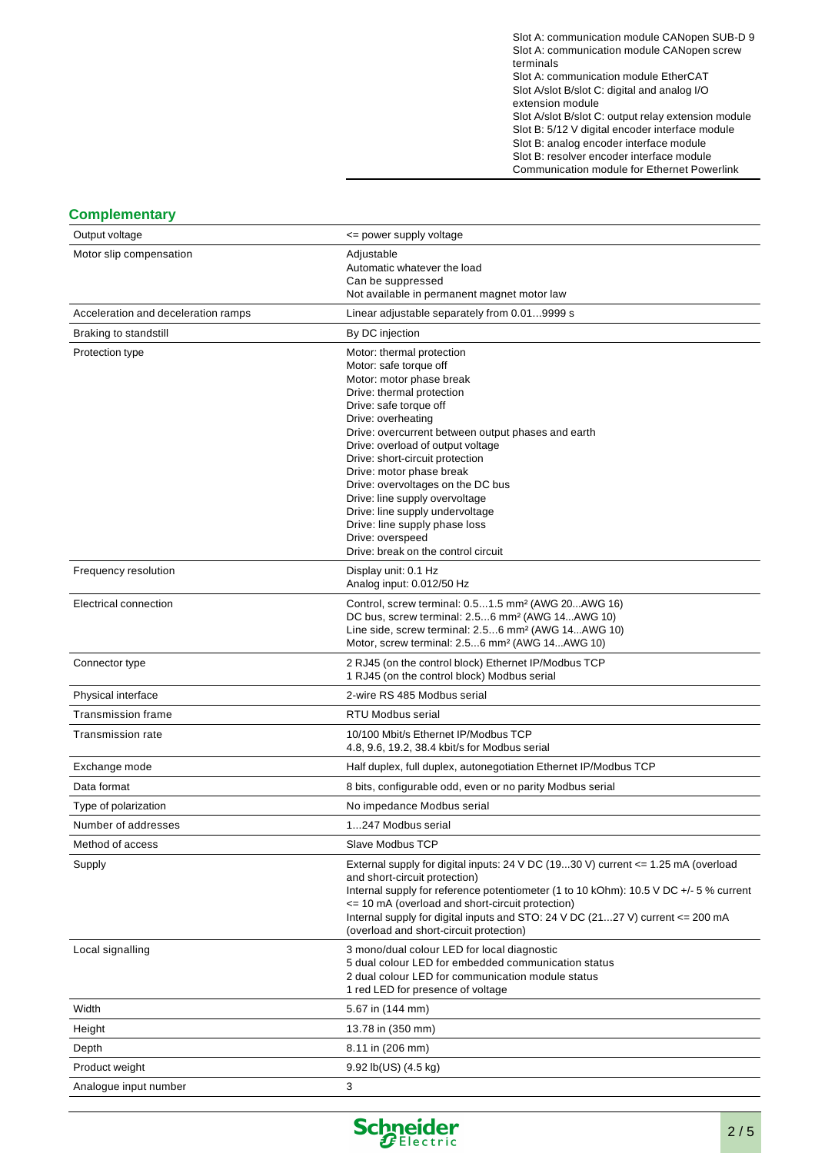Slot A: communication module CANopen SUB-D 9 Slot A: communication module CANopen screw terminals Slot A: communication module EtherCAT Slot A/slot B/slot C: digital and analog I/O extension module

Slot A/slot B/slot C: output relay extension module Slot B: 5/12 V digital encoder interface module Slot B: analog encoder interface module Slot B: resolver encoder interface module Communication module for Ethernet Powerlink

#### **Complementary**

| Output voltage                      | <= power supply voltage                                                                                                         |
|-------------------------------------|---------------------------------------------------------------------------------------------------------------------------------|
| Motor slip compensation             | Adjustable                                                                                                                      |
|                                     | Automatic whatever the load<br>Can be suppressed                                                                                |
|                                     | Not available in permanent magnet motor law                                                                                     |
| Acceleration and deceleration ramps | Linear adjustable separately from 0.019999 s                                                                                    |
| Braking to standstill               | By DC injection                                                                                                                 |
| Protection type                     | Motor: thermal protection                                                                                                       |
|                                     | Motor: safe torque off<br>Motor: motor phase break                                                                              |
|                                     | Drive: thermal protection                                                                                                       |
|                                     | Drive: safe torque off                                                                                                          |
|                                     | Drive: overheating<br>Drive: overcurrent between output phases and earth                                                        |
|                                     | Drive: overload of output voltage                                                                                               |
|                                     | Drive: short-circuit protection                                                                                                 |
|                                     | Drive: motor phase break<br>Drive: overvoltages on the DC bus                                                                   |
|                                     | Drive: line supply overvoltage                                                                                                  |
|                                     | Drive: line supply undervoltage                                                                                                 |
|                                     | Drive: line supply phase loss<br>Drive: overspeed                                                                               |
|                                     | Drive: break on the control circuit                                                                                             |
| Frequency resolution                | Display unit: 0.1 Hz                                                                                                            |
|                                     | Analog input: 0.012/50 Hz                                                                                                       |
| Electrical connection               | Control, screw terminal: 0.51.5 mm <sup>2</sup> (AWG 20AWG 16)<br>DC bus, screw terminal: 2.56 mm <sup>2</sup> (AWG 14AWG 10)   |
|                                     | Line side, screw terminal: 2.56 mm <sup>2</sup> (AWG 14AWG 10)                                                                  |
|                                     | Motor, screw terminal: 2.56 mm <sup>2</sup> (AWG 14AWG 10)                                                                      |
| Connector type                      | 2 RJ45 (on the control block) Ethernet IP/Modbus TCP<br>1 RJ45 (on the control block) Modbus serial                             |
| Physical interface                  | 2-wire RS 485 Modbus serial                                                                                                     |
| Transmission frame                  | <b>RTU Modbus serial</b>                                                                                                        |
| <b>Transmission rate</b>            | 10/100 Mbit/s Ethernet IP/Modbus TCP<br>4.8, 9.6, 19.2, 38.4 kbit/s for Modbus serial                                           |
| Exchange mode                       | Half duplex, full duplex, autonegotiation Ethernet IP/Modbus TCP                                                                |
| Data format                         | 8 bits, configurable odd, even or no parity Modbus serial                                                                       |
| Type of polarization                | No impedance Modbus serial                                                                                                      |
| Number of addresses                 | 1247 Modbus serial                                                                                                              |
| Method of access                    | Slave Modbus TCP                                                                                                                |
| Supply                              | External supply for digital inputs: 24 V DC (1930 V) current $\leq$ 1.25 mA (overload                                           |
|                                     | and short-circuit protection)<br>Internal supply for reference potentiometer (1 to 10 kOhm): 10.5 V DC +/- 5 % current          |
|                                     | <= 10 mA (overload and short-circuit protection)                                                                                |
|                                     | Internal supply for digital inputs and STO: 24 V DC $(2127 V)$ current $\leq 200$ mA<br>(overload and short-circuit protection) |
| Local signalling                    | 3 mono/dual colour LED for local diagnostic                                                                                     |
|                                     | 5 dual colour LED for embedded communication status                                                                             |
|                                     | 2 dual colour LED for communication module status                                                                               |
|                                     | 1 red LED for presence of voltage                                                                                               |
| Width                               | 5.67 in (144 mm)                                                                                                                |
| Height                              | 13.78 in (350 mm)                                                                                                               |
| Depth                               | 8.11 in (206 mm)                                                                                                                |
| Product weight                      | $9.92$ lb(US) $(4.5 \text{ kg})$                                                                                                |
| Analogue input number               | 3                                                                                                                               |

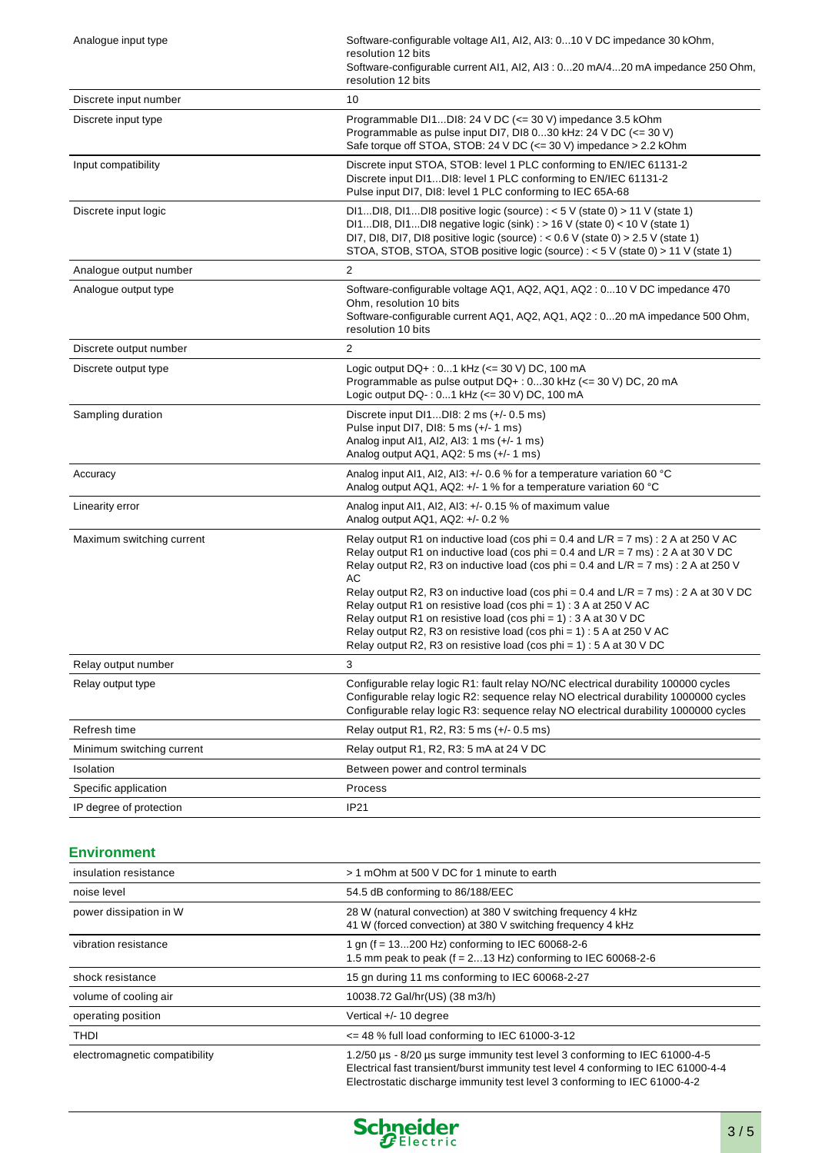| Analogue input type       | Software-configurable voltage AI1, AI2, AI3: 010 V DC impedance 30 kOhm,<br>resolution 12 bits<br>Software-configurable current AI1, AI2, AI3 : 020 mA/420 mA impedance 250 Ohm,<br>resolution 12 bits                                                                                                                                                                                                                                                                                                                                                                                                                                                                         |
|---------------------------|--------------------------------------------------------------------------------------------------------------------------------------------------------------------------------------------------------------------------------------------------------------------------------------------------------------------------------------------------------------------------------------------------------------------------------------------------------------------------------------------------------------------------------------------------------------------------------------------------------------------------------------------------------------------------------|
| Discrete input number     | 10                                                                                                                                                                                                                                                                                                                                                                                                                                                                                                                                                                                                                                                                             |
| Discrete input type       | Programmable DI1DI8: 24 V DC (<= 30 V) impedance 3.5 kOhm<br>Programmable as pulse input DI7, DI8 030 kHz: 24 V DC (<= 30 V)<br>Safe torque off STOA, STOB: 24 V DC (<= 30 V) impedance > 2.2 kOhm                                                                                                                                                                                                                                                                                                                                                                                                                                                                             |
| Input compatibility       | Discrete input STOA, STOB: level 1 PLC conforming to EN/IEC 61131-2<br>Discrete input DI1DI8: level 1 PLC conforming to EN/IEC 61131-2<br>Pulse input DI7, DI8: level 1 PLC conforming to IEC 65A-68                                                                                                                                                                                                                                                                                                                                                                                                                                                                           |
| Discrete input logic      | DI1DI8, DI1DI8 positive logic (source) : $<$ 5 V (state 0) > 11 V (state 1)<br>DI1DI8, DI1DI8 negative logic (sink) : $> 16$ V (state 0) < 10 V (state 1)<br>DI7, DI8, DI7, DI8 positive logic (source) : < $0.6$ V (state 0) > $2.5$ V (state 1)<br>STOA, STOB, STOA, STOB positive logic (source) : < 5 V (state 0) > 11 V (state 1)                                                                                                                                                                                                                                                                                                                                         |
| Analogue output number    | $\overline{2}$                                                                                                                                                                                                                                                                                                                                                                                                                                                                                                                                                                                                                                                                 |
| Analogue output type      | Software-configurable voltage AQ1, AQ2, AQ1, AQ2 : 010 V DC impedance 470<br>Ohm, resolution 10 bits<br>Software-configurable current AQ1, AQ2, AQ1, AQ2 : 020 mA impedance 500 Ohm,<br>resolution 10 bits                                                                                                                                                                                                                                                                                                                                                                                                                                                                     |
| Discrete output number    | $\overline{2}$                                                                                                                                                                                                                                                                                                                                                                                                                                                                                                                                                                                                                                                                 |
| Discrete output type      | Logic output DQ+: 01 kHz (<= 30 V) DC, 100 mA<br>Programmable as pulse output DQ+: 030 kHz (<= 30 V) DC, 20 mA<br>Logic output DQ-: 01 kHz (<= 30 V) DC, 100 mA                                                                                                                                                                                                                                                                                                                                                                                                                                                                                                                |
| Sampling duration         | Discrete input $DI1DI8: 2$ ms $(+/- 0.5$ ms)<br>Pulse input DI7, DI8: 5 ms (+/- 1 ms)<br>Analog input AI1, AI2, AI3: 1 ms (+/- 1 ms)<br>Analog output AQ1, AQ2: 5 ms $(+/- 1$ ms)                                                                                                                                                                                                                                                                                                                                                                                                                                                                                              |
| Accuracy                  | Analog input Al1, Al2, Al3: +/- 0.6 % for a temperature variation 60 °C<br>Analog output AQ1, AQ2: +/- 1 % for a temperature variation 60 °C                                                                                                                                                                                                                                                                                                                                                                                                                                                                                                                                   |
| Linearity error           | Analog input Al1, Al2, Al3: $+/-$ 0.15 % of maximum value<br>Analog output AQ1, AQ2: +/- 0.2 %                                                                                                                                                                                                                                                                                                                                                                                                                                                                                                                                                                                 |
| Maximum switching current | Relay output R1 on inductive load (cos phi = $0.4$ and L/R = $7$ ms) : $2$ A at 250 V AC<br>Relay output R1 on inductive load (cos phi = $0.4$ and $L/R = 7$ ms) : 2 A at 30 V DC<br>Relay output R2, R3 on inductive load (cos phi = $0.4$ and $L/R = 7$ ms): 2 A at 250 V<br>AC<br>Relay output R2, R3 on inductive load (cos phi = $0.4$ and $L/R = 7$ ms) : 2 A at 30 V DC<br>Relay output R1 on resistive load (cos phi = 1) : 3 A at 250 V AC<br>Relay output R1 on resistive load (cos phi = $1$ ) : 3 A at 30 V DC<br>Relay output R2, R3 on resistive load (cos phi = $1$ ) : 5 A at 250 V AC<br>Relay output R2, R3 on resistive load (cos phi = 1) : 5 A at 30 V DC |
| Relay output number       | 3                                                                                                                                                                                                                                                                                                                                                                                                                                                                                                                                                                                                                                                                              |
| Relay output type         | Configurable relay logic R1: fault relay NO/NC electrical durability 100000 cycles<br>Configurable relay logic R2: sequence relay NO electrical durability 1000000 cycles<br>Configurable relay logic R3: sequence relay NO electrical durability 1000000 cycles                                                                                                                                                                                                                                                                                                                                                                                                               |
| Refresh time              | Relay output R1, R2, R3: 5 ms (+/- 0.5 ms)                                                                                                                                                                                                                                                                                                                                                                                                                                                                                                                                                                                                                                     |
| Minimum switching current | Relay output R1, R2, R3: 5 mA at 24 V DC                                                                                                                                                                                                                                                                                                                                                                                                                                                                                                                                                                                                                                       |
| Isolation                 | Between power and control terminals                                                                                                                                                                                                                                                                                                                                                                                                                                                                                                                                                                                                                                            |
| Specific application      | Process                                                                                                                                                                                                                                                                                                                                                                                                                                                                                                                                                                                                                                                                        |
| IP degree of protection   | <b>IP21</b>                                                                                                                                                                                                                                                                                                                                                                                                                                                                                                                                                                                                                                                                    |

#### **Environment**

| insulation resistance         | > 1 mOhm at 500 V DC for 1 minute to earth                                                                                                                                                                                                    |
|-------------------------------|-----------------------------------------------------------------------------------------------------------------------------------------------------------------------------------------------------------------------------------------------|
| noise level                   | 54.5 dB conforming to 86/188/EEC                                                                                                                                                                                                              |
| power dissipation in W        | 28 W (natural convection) at 380 V switching frequency 4 kHz<br>41 W (forced convection) at 380 V switching frequency 4 kHz                                                                                                                   |
| vibration resistance          | 1 gn (f = 13200 Hz) conforming to IEC 60068-2-6<br>1.5 mm peak to peak ( $f = 213$ Hz) conforming to IEC 60068-2-6                                                                                                                            |
| shock resistance              | 15 gn during 11 ms conforming to IEC 60068-2-27                                                                                                                                                                                               |
| volume of cooling air         | 10038.72 Gal/hr(US) (38 m3/h)                                                                                                                                                                                                                 |
| operating position            | Vertical $+/- 10$ degree                                                                                                                                                                                                                      |
| <b>THDI</b>                   | $\le$ 48 % full load conforming to IEC 61000-3-12                                                                                                                                                                                             |
| electromagnetic compatibility | 1.2/50 us - 8/20 us surge immunity test level 3 conforming to IEC 61000-4-5<br>Electrical fast transient/burst immunity test level 4 conforming to IEC 61000-4-4<br>Electrostatic discharge immunity test level 3 conforming to IEC 61000-4-2 |

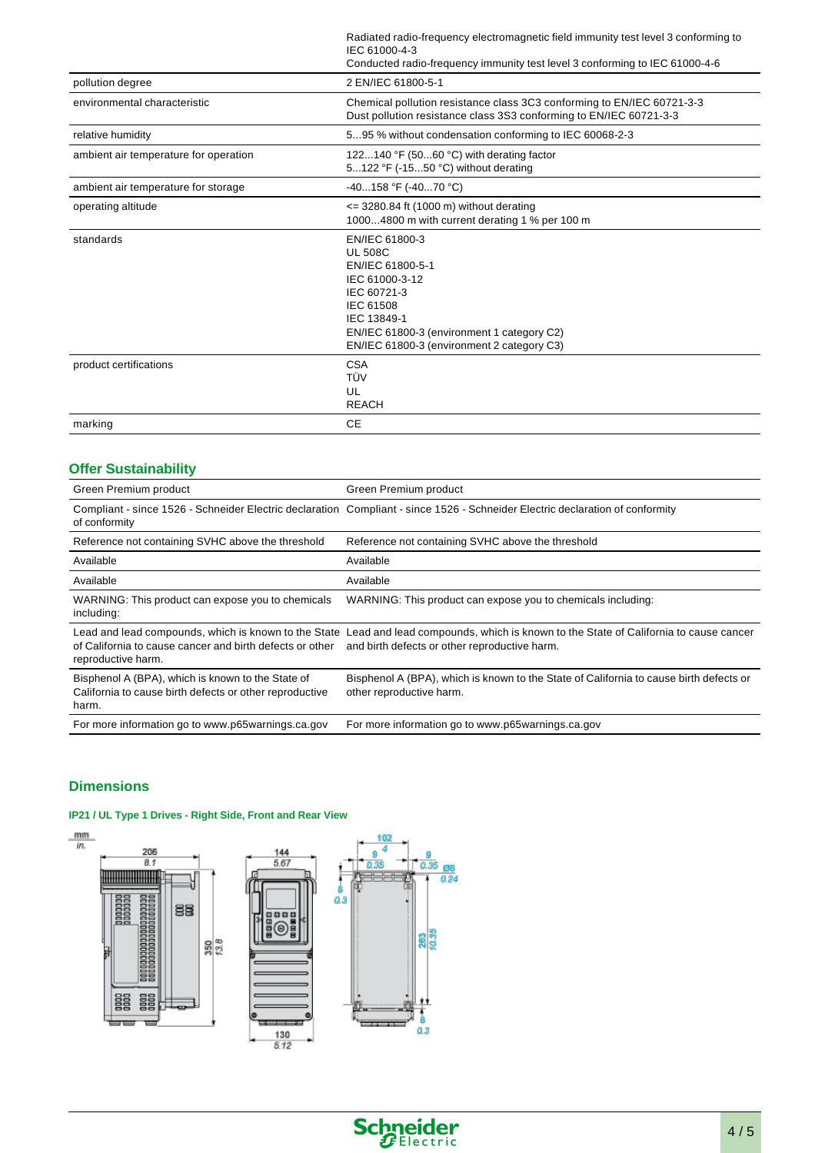Radiated radio-frequency electromagnetic field immunity test level 3 conforming to IEC 61000-4-3 Conducted radio-frequency immunity test level 3 conforming to IEC 61000-4-6

|                                       | Conqueted Taglo-Hequeticy immunity test level 5 conforming to TEC 6 T000-4-6                                                                                                                                  |
|---------------------------------------|---------------------------------------------------------------------------------------------------------------------------------------------------------------------------------------------------------------|
| pollution degree                      | 2 EN/IEC 61800-5-1                                                                                                                                                                                            |
| environmental characteristic          | Chemical pollution resistance class 3C3 conforming to EN/IEC 60721-3-3<br>Dust pollution resistance class 3S3 conforming to EN/IEC 60721-3-3                                                                  |
| relative humidity                     | 595 % without condensation conforming to IEC 60068-2-3                                                                                                                                                        |
| ambient air temperature for operation | 122140 °F (5060 °C) with derating factor<br>5122 °F (-1550 °C) without derating                                                                                                                               |
| ambient air temperature for storage   | -40158 °F (-4070 °C)                                                                                                                                                                                          |
| operating altitude                    | $\epsilon$ = 3280.84 ft (1000 m) without derating<br>10004800 m with current derating 1 % per 100 m                                                                                                           |
| standards                             | EN/IEC 61800-3<br><b>UL 508C</b><br>EN/IEC 61800-5-1<br>IEC 61000-3-12<br>IEC 60721-3<br>IEC 61508<br>IEC 13849-1<br>EN/IEC 61800-3 (environment 1 category C2)<br>EN/IEC 61800-3 (environment 2 category C3) |
| product certifications                | <b>CSA</b><br>TÜV<br>UL<br><b>REACH</b>                                                                                                                                                                       |
| marking                               | <b>CE</b>                                                                                                                                                                                                     |

#### **Offer Sustainability**

| Green Premium product                                                                                                 | Green Premium product                                                                                                                                                                    |
|-----------------------------------------------------------------------------------------------------------------------|------------------------------------------------------------------------------------------------------------------------------------------------------------------------------------------|
| of conformity                                                                                                         | Compliant - since 1526 - Schneider Electric declaration Compliant - since 1526 - Schneider Electric declaration of conformity                                                            |
| Reference not containing SVHC above the threshold                                                                     | Reference not containing SVHC above the threshold                                                                                                                                        |
| Available                                                                                                             | Available                                                                                                                                                                                |
| Available                                                                                                             | Available                                                                                                                                                                                |
| WARNING: This product can expose you to chemicals<br>including:                                                       | WARNING: This product can expose you to chemicals including:                                                                                                                             |
| of California to cause cancer and birth defects or other<br>reproductive harm.                                        | Lead and lead compounds, which is known to the State Lead and lead compounds, which is known to the State of California to cause cancer<br>and birth defects or other reproductive harm. |
| Bisphenol A (BPA), which is known to the State of<br>California to cause birth defects or other reproductive<br>harm. | Bisphenol A (BPA), which is known to the State of California to cause birth defects or<br>other reproductive harm.                                                                       |
| For more information go to www.p65warnings.ca.gov                                                                     | For more information go to www.p65warnings.ca.gov                                                                                                                                        |

#### **Dimensions**

#### **IP21 / UL Type 1 Drives - Right Side, Front and Rear View**



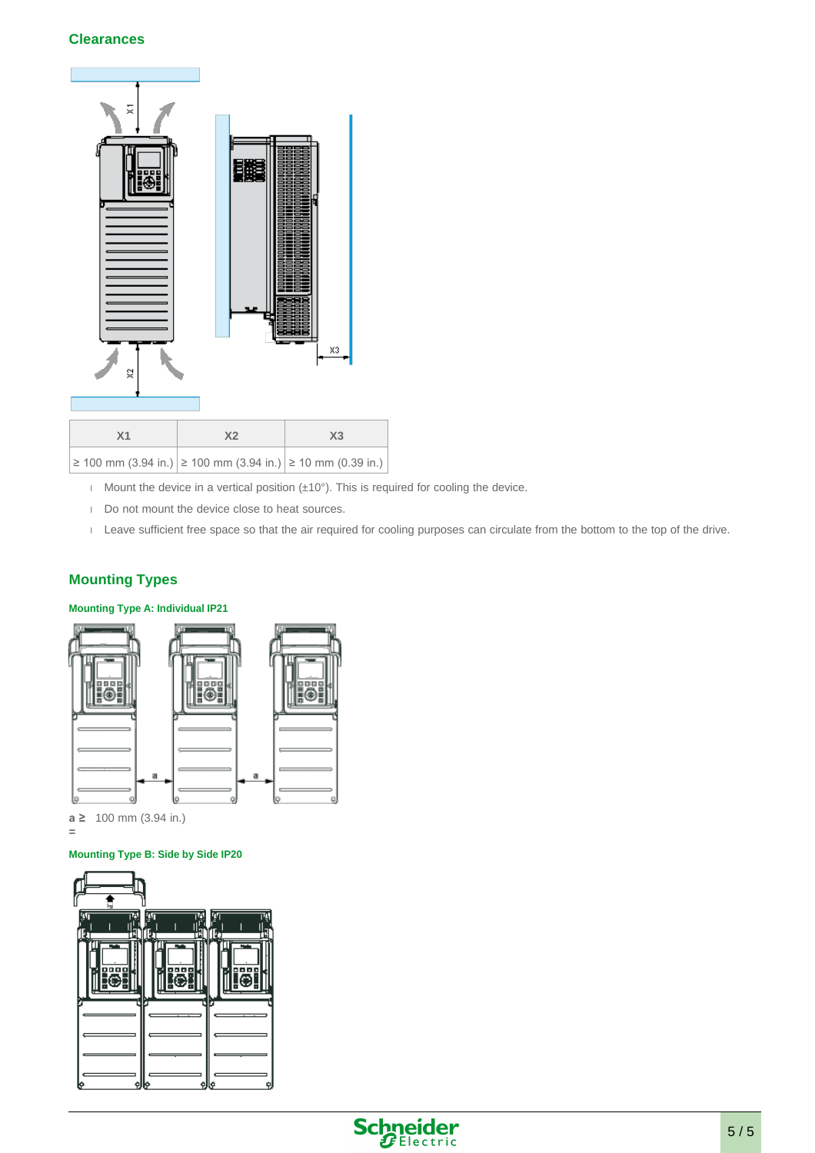#### **Clearances**



- Mount the device in a vertical position  $(\pm 10^{\circ})$ . This is required for cooling the device.
- Do not mount the device close to heat sources.
- Leave sufficient free space so that the air required for cooling purposes can circulate from the bottom to the top of the drive.

#### **Mounting Types**

#### **Mounting Type A: Individual IP21**



**a ≥**  100 mm (3.94 in.) **=** 

#### **Mounting Type B: Side by Side IP20**